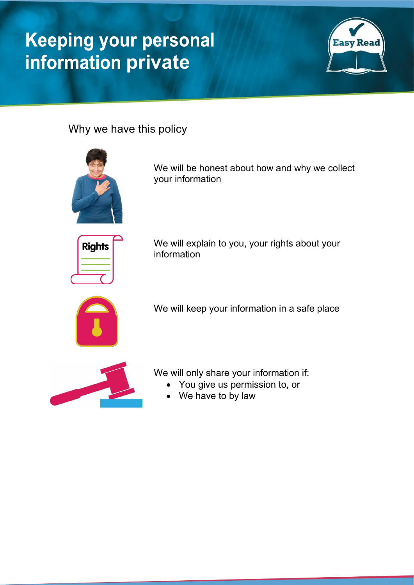# **Keeping your personal information private**



Why we have this policy



We will be honest about how and why we collect your information



We will explain to you, your rights about your information



We will keep your information in a safe place



We will only share your information if:

- You give us permission to, or
	- We have to by law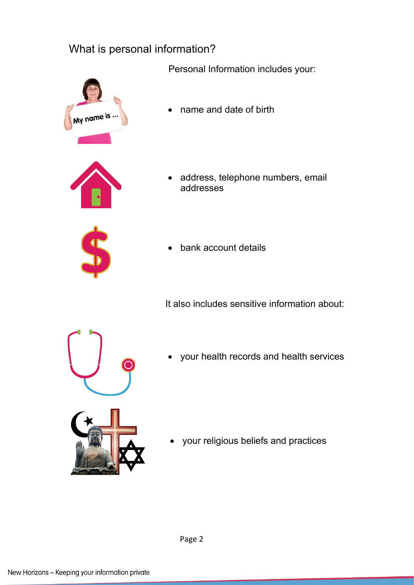#### What is personal information?

Personal Information includes your:



• name and date of birth

- 
- address, telephone numbers, email addresses
- bank account details

It also includes sensitive information about:



• your health records and health services

• your religious beliefs and practices

Page 2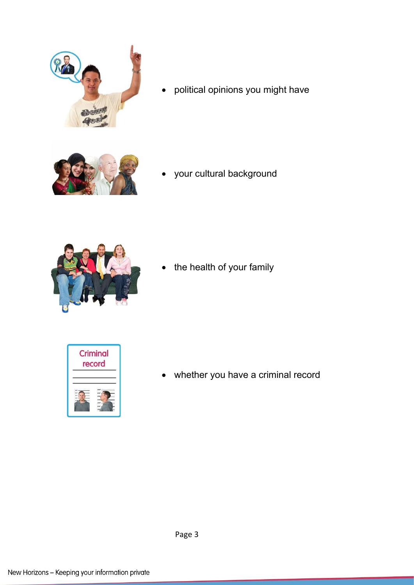

• political opinions you might have



• your cultural background



• the health of your family



• whether you have a criminal record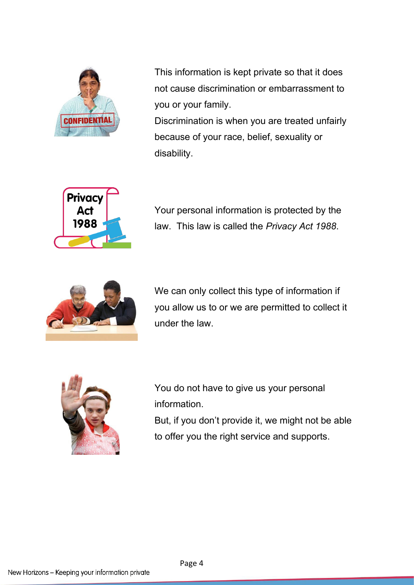

This information is kept private so that it does not cause discrimination or embarrassment to you or your family. Discrimination is when you are treated unfairly

because of your race, belief, sexuality or disability.



Your personal information is protected by the law. This law is called the *Privacy Act 1988*.



We can only collect this type of information if you allow us to or we are permitted to collect it under the law.



You do not have to give us your personal information.

But, if you don't provide it, we might not be able to offer you the right service and supports.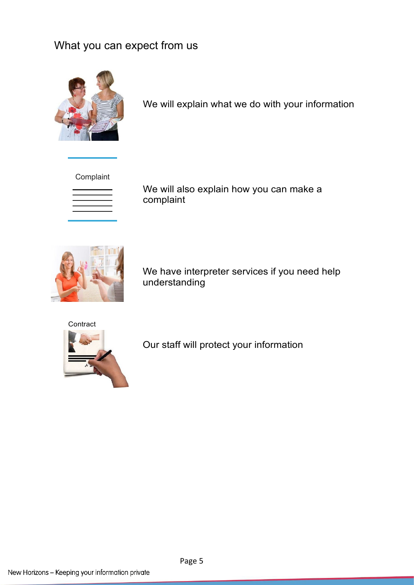## What you can expect from us



We will explain what we do with your information

Complaint



We will also explain how you can make a complaint



We have interpreter services if you need help understanding

**Contract** 



Our staff will protect your information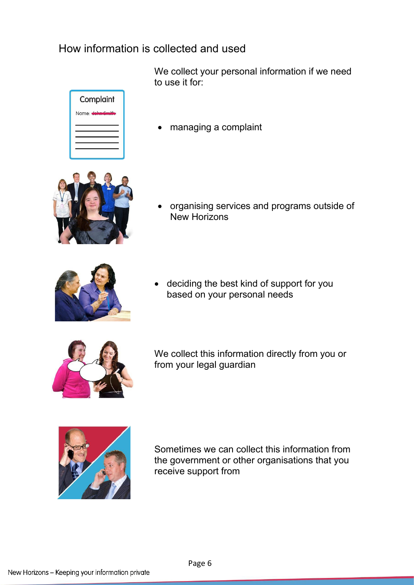#### How information is collected and used



We collect your personal information if we need to use it for:

• managing a complaint



• organising services and programs outside of New Horizons



• deciding the best kind of support for you based on your personal needs



We collect this information directly from you or from your legal guardian



Sometimes we can collect this information from the government or other organisations that you receive support from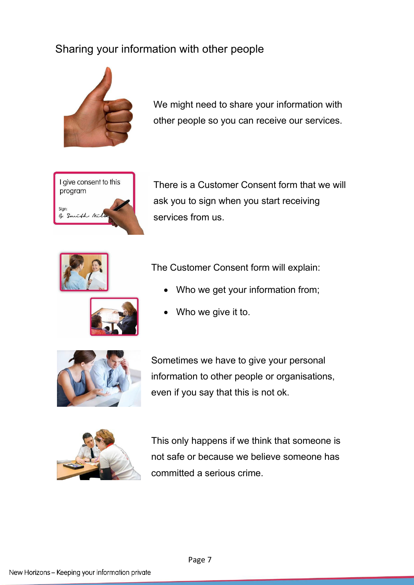### Sharing your information with other people



We might need to share your information with other people so you can receive our services.



There is a Customer Consent form that we will ask you to sign when you start receiving services from us.



The Customer Consent form will explain:

Who we get your information from;



Who we give it to.



Sometimes we have to give your personal information to other people or organisations, even if you say that this is not ok.



This only happens if we think that someone is not safe or because we believe someone has committed a serious crime.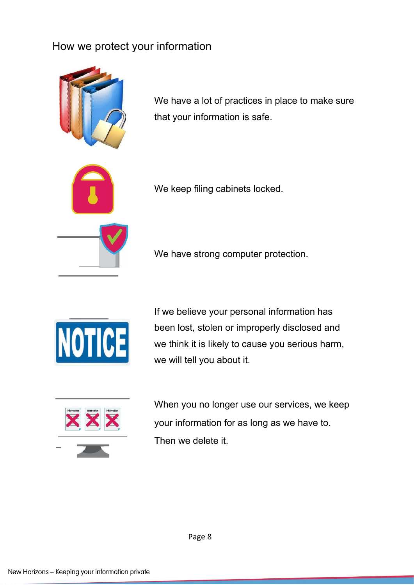#### How we protect your information



We have a lot of practices in place to make sure that your information is safe.

We keep filing cabinets locked.

We have strong computer protection.



If we believe your personal information has been lost, stolen or improperly disclosed and we think it is likely to cause you serious harm, we will tell you about it.



When you no longer use our services, we keep your information for as long as we have to. Then we delete it.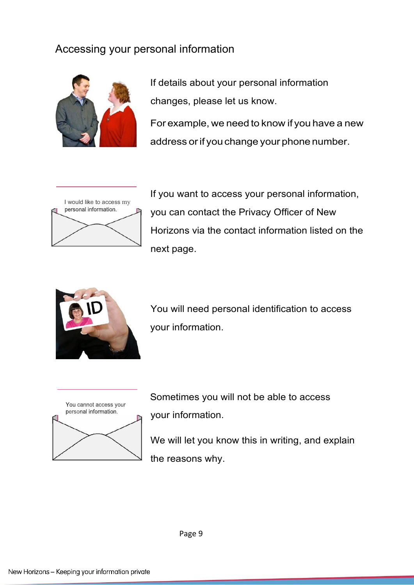#### Accessing your personal information



If details about your personal information changes, please let us know.

For example, we need to know if you have a new address orif youchange your phone number.



If you want to access your personal information, you can contact the Privacy Officer of New Horizons via the contact information listed on the next page.



You will need personal identification to access your information.



Sometimes you will not be able to access your information.

We will let you know this in writing, and explain the reasons why.